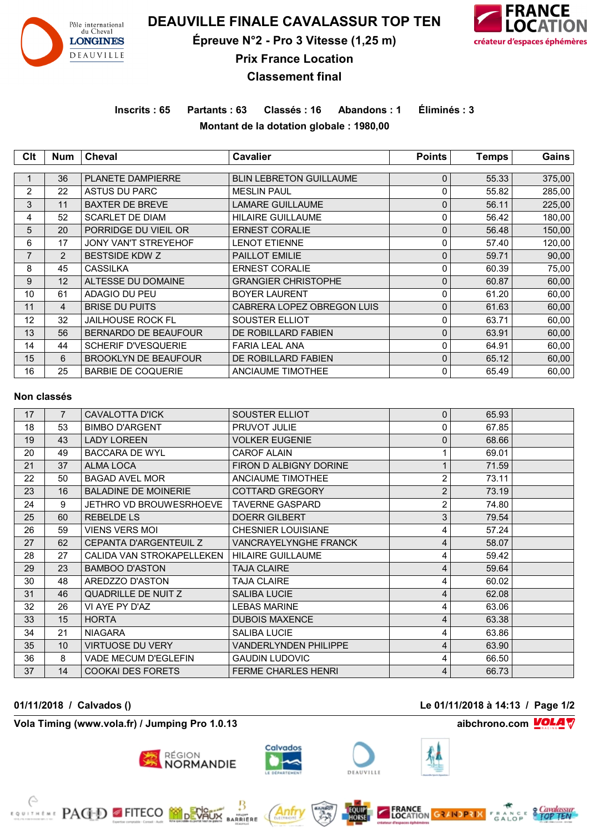

# **DEAUVILLE FINALE CAVALASSUR TOP TEN**

**Épreuve N°2 - Pro 3 Vitesse (1,25 m)**



**Prix France Location**

# **Classement final**

**Inscrits : 65 Partants : 63 Classés : 16 Abandons : 1 Éliminés : 3 Montant de la dotation globale : 1980,00**

| Clt            | <b>Num</b>     | Cheval                      | Cavalier                       | <b>Points</b> | <b>Temps</b> | Gains  |
|----------------|----------------|-----------------------------|--------------------------------|---------------|--------------|--------|
|                |                |                             |                                |               |              |        |
|                | 36             | <b>PLANETE DAMPIERRE</b>    | <b>BLIN LEBRETON GUILLAUME</b> | 0             | 55.33        | 375,00 |
| $\mathbf{2}$   | 22             | <b>ASTUS DU PARC</b>        | <b>MESLIN PAUL</b>             | 0             | 55.82        | 285,00 |
| 3              | 11             | <b>BAXTER DE BREVE</b>      | <b>LAMARE GUILLAUME</b>        | 0             | 56.11        | 225,00 |
| 4              | 52             | <b>SCARLET DE DIAM</b>      | <b>HILAIRE GUILLAUME</b>       | 0             | 56.42        | 180,00 |
| 5              | 20             | PORRIDGE DU VIEIL OR        | <b>ERNEST CORALIE</b>          | 0             | 56.48        | 150,00 |
| 6              | 17             | <b>JONY VAN'T STREYEHOF</b> | <b>LENOT ETIENNE</b>           | 0             | 57.40        | 120,00 |
| $\overline{7}$ | $\overline{2}$ | <b>BESTSIDE KDW Z</b>       | <b>PAILLOT EMILIE</b>          | 0             | 59.71        | 90,00  |
| 8              | 45             | <b>CASSILKA</b>             | <b>ERNEST CORALIE</b>          | 0             | 60.39        | 75,00  |
| 9              | 12             | ALTESSE DU DOMAINE          | <b>GRANGIER CHRISTOPHE</b>     | 0             | 60.87        | 60,00  |
| 10             | 61             | ADAGIO DU PEU               | <b>BOYER LAURENT</b>           | 0             | 61.20        | 60,00  |
| 11             | 4              | <b>BRISE DU PUITS</b>       | CABRERA LOPEZ OBREGON LUIS     | 0             | 61.63        | 60,00  |
| 12             | 32             | <b>JAILHOUSE ROCK FL</b>    | SOUSTER ELLIOT                 | 0             | 63.71        | 60,00  |
| 13             | 56             | <b>BERNARDO DE BEAUFOUR</b> | DE ROBILLARD FABIEN            | 0             | 63.91        | 60,00  |
| 14             | 44             | <b>SCHERIF D'VESQUERIE</b>  | <b>FARIA LEAL ANA</b>          | 0             | 64.91        | 60,00  |
| 15             | 6              | <b>BROOKLYN DE BEAUFOUR</b> | DE ROBILLARD FABIEN            | 0             | 65.12        | 60,00  |
| 16             | 25             | <b>BARBIE DE COQUERIE</b>   | <b>ANCIAUME TIMOTHEE</b>       | 0             | 65.49        | 60,00  |

#### **Non classés**

| 17 | $\overline{7}$ | <b>CAVALOTTA D'ICK</b>         | SOUSTER ELLIOT               | $\Omega$       | 65.93 |  |
|----|----------------|--------------------------------|------------------------------|----------------|-------|--|
| 18 | 53             | <b>BIMBO D'ARGENT</b>          | PRUVOT JULIE                 | 0              | 67.85 |  |
| 19 | 43             | <b>LADY LOREEN</b>             | <b>VOLKER EUGENIE</b>        | $\Omega$       | 68.66 |  |
| 20 | 49             | <b>BACCARA DE WYL</b>          | <b>CAROF ALAIN</b>           |                | 69.01 |  |
| 21 | 37             | <b>ALMA LOCA</b>               | FIRON D ALBIGNY DORINE       | 1              | 71.59 |  |
| 22 | 50             | <b>BAGAD AVEL MOR</b>          | ANCIAUME TIMOTHEE            | $\overline{2}$ | 73.11 |  |
| 23 | 16             | <b>BALADINE DE MOINERIE</b>    | <b>COTTARD GREGORY</b>       | $\overline{2}$ | 73.19 |  |
| 24 | 9              | <b>JETHRO VD BROUWESRHOEVE</b> | <b>TAVERNE GASPARD</b>       | $\overline{2}$ | 74.80 |  |
| 25 | 60             | <b>REBELDE LS</b>              | <b>DOERR GILBERT</b>         | 3              | 79.54 |  |
| 26 | 59             | <b>VIENS VERS MOI</b>          | <b>CHESNIER LOUISIANE</b>    | 4              | 57.24 |  |
| 27 | 62             | <b>CEPANTA D'ARGENTEUIL Z</b>  | <b>VANCRAYELYNGHE FRANCK</b> | 4              | 58.07 |  |
| 28 | 27             | CALIDA VAN STROKAPELLEKEN      | <b>HILAIRE GUILLAUME</b>     | 4              | 59.42 |  |
| 29 | 23             | <b>BAMBOO D'ASTON</b>          | <b>TAJA CLAIRE</b>           | 4              | 59.64 |  |
| 30 | 48             | AREDZZO D'ASTON                | <b>TAJA CLAIRE</b>           | 4              | 60.02 |  |
| 31 | 46             | <b>QUADRILLE DE NUITZ</b>      | <b>SALIBA LUCIE</b>          | 4              | 62.08 |  |
| 32 | 26             | VI AYE PY D'AZ                 | <b>LEBAS MARINE</b>          | 4              | 63.06 |  |
| 33 | 15             | <b>HORTA</b>                   | <b>DUBOIS MAXENCE</b>        | 4              | 63.38 |  |
| 34 | 21             | <b>NIAGARA</b>                 | <b>SALIBA LUCIE</b>          | 4              | 63.86 |  |
| 35 | 10             | <b>VIRTUOSE DU VERY</b>        | <b>VANDERLYNDEN PHILIPPE</b> | 4              | 63.90 |  |
| 36 | 8              | <b>VADE MECUM D'EGLEFIN</b>    | <b>GAUDIN LUDOVIC</b>        | 4              | 66.50 |  |
| 37 | 14             | <b>COOKAI DES FORETS</b>       | <b>FERME CHARLES HENRI</b>   | 4              | 66.73 |  |

**Vola Timing (www.vola.fr) / Jumping Pro 1.0.13 aibchrono.com VOLA** 

**EXAMPLE PAGED FITECO MODEVALIX** 











MSONT<br>RRIERE